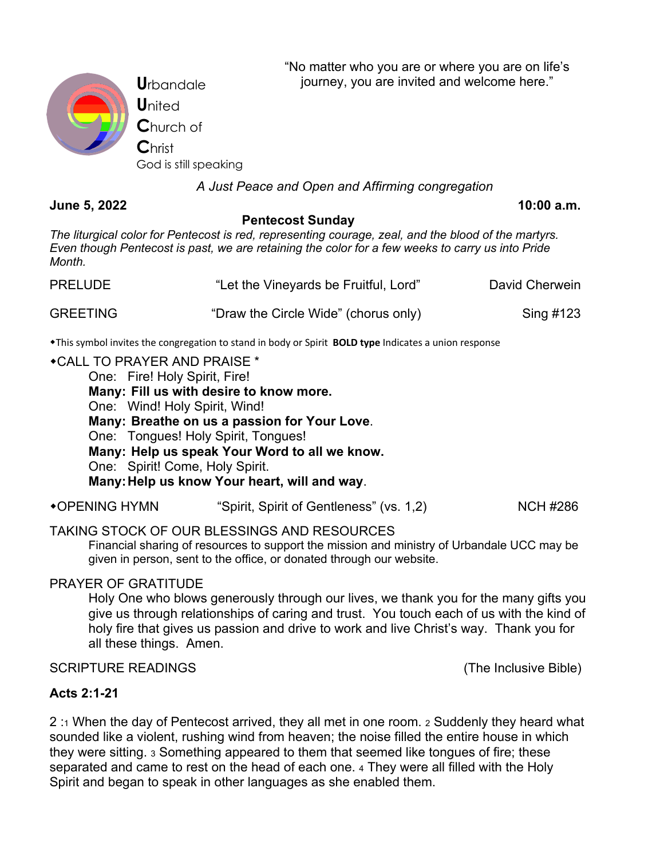"No matter who you are or where you are on life's journey, you are invited and welcome here."



**U**rbandale **U**nited **C**hurch of **C**hrist God is still speaking

## *A Just Peace and Open and Affirming congregation*

**June 5, 2022 10:00 a.m.**

#### **Pentecost Sunday**

*The liturgical color for Pentecost is red, representing courage, zeal, and the blood of the martyrs. Even though Pentecost is past, we are retaining the color for a few weeks to carry us into Pride Month.*

| <b>PRELUDE</b>  | "Let the Vineyards be Fruitful, Lord" | David Cherwein |
|-----------------|---------------------------------------|----------------|
| <b>GREETING</b> | "Draw the Circle Wide" (chorus only)  | Sing #123      |

wThis symbol invites the congregation to stand in body or Spirit **BOLD type** Indicates a union response

#### **\*CALL TO PRAYER AND PRAISE \***

One: Fire! Holy Spirit, Fire!

**Many: Fill us with desire to know more.**

One: Wind! Holy Spirit, Wind!

**Many: Breathe on us a passion for Your Love**.

One: Tongues! Holy Spirit, Tongues!

**Many: Help us speak Your Word to all we know.**

One: Spirit! Come, Holy Spirit.

**Many:Help us know Your heart, will and way**.

•OPENING HYMN "Spirit, Spirit of Gentleness" (vs. 1,2) NCH #286

# TAKING STOCK OF OUR BLESSINGS AND RESOURCES

Financial sharing of resources to support the mission and ministry of Urbandale UCC may be given in person, sent to the office, or donated through our website.

# PRAYER OF GRATITUDE

Holy One who blows generously through our lives, we thank you for the many gifts you give us through relationships of caring and trust. You touch each of us with the kind of holy fire that gives us passion and drive to work and live Christ's way. Thank you for all these things. Amen.

## SCRIPTURE READINGS (The Inclusive Bible)

## **Acts 2:1-21**

2 :1 When the day of Pentecost arrived, they all met in one room. 2 Suddenly they heard what sounded like a violent, rushing wind from heaven; the noise filled the entire house in which they were sitting. 3 Something appeared to them that seemed like tongues of fire; these separated and came to rest on the head of each one. 4 They were all filled with the Holy Spirit and began to speak in other languages as she enabled them.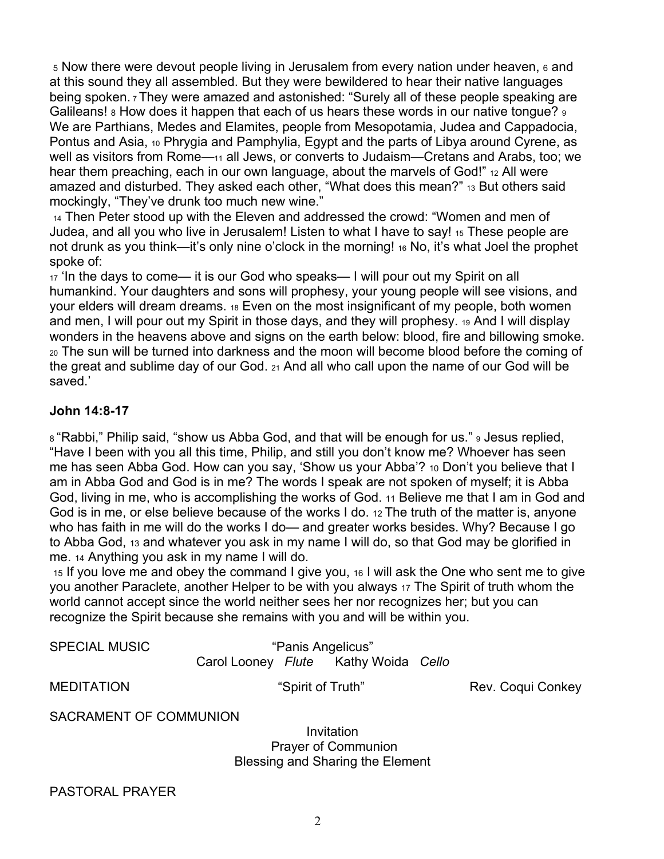<sup>5</sup> Now there were devout people living in Jerusalem from every nation under heaven, 6 and at this sound they all assembled. But they were bewildered to hear their native languages being spoken. 7 They were amazed and astonished: "Surely all of these people speaking are Galileans! 8 How does it happen that each of us hears these words in our native tongue?  $9$ We are Parthians, Medes and Elamites, people from Mesopotamia, Judea and Cappadocia, Pontus and Asia, 10 Phrygia and Pamphylia, Egypt and the parts of Libya around Cyrene, as well as visitors from Rome—11 all Jews, or converts to Judaism—Cretans and Arabs, too; we hear them preaching, each in our own language, about the marvels of God!" 12 All were amazed and disturbed. They asked each other, "What does this mean?" 13 But others said mockingly, "They've drunk too much new wine."

<sup>14</sup> Then Peter stood up with the Eleven and addressed the crowd: "Women and men of Judea, and all you who live in Jerusalem! Listen to what I have to say! 15 These people are not drunk as you think—it's only nine o'clock in the morning! 16 No, it's what Joel the prophet spoke of:

<sup>17</sup> 'In the days to come— it is our God who speaks— I will pour out my Spirit on all humankind. Your daughters and sons will prophesy, your young people will see visions, and your elders will dream dreams. 18 Even on the most insignificant of my people, both women and men, I will pour out my Spirit in those days, and they will prophesy. 19 And I will display wonders in the heavens above and signs on the earth below: blood, fire and billowing smoke. <sup>20</sup> The sun will be turned into darkness and the moon will become blood before the coming of the great and sublime day of our God. 21 And all who call upon the name of our God will be saved.'

## **John 14:8-17**

8 "Rabbi," Philip said, "show us Abba God, and that will be enough for us." 9 Jesus replied, "Have I been with you all this time, Philip, and still you don't know me? Whoever has seen me has seen Abba God. How can you say, 'Show us your Abba'? 10 Don't you believe that I am in Abba God and God is in me? The words I speak are not spoken of myself; it is Abba God, living in me, who is accomplishing the works of God. 11 Believe me that I am in God and God is in me, or else believe because of the works I do. 12 The truth of the matter is, anyone who has faith in me will do the works I do— and greater works besides. Why? Because I go to Abba God, 13 and whatever you ask in my name I will do, so that God may be glorified in me. 14 Anything you ask in my name I will do.

<sup>15</sup> If you love me and obey the command I give you, 16 I will ask the One who sent me to give you another Paraclete, another Helper to be with you always <sup>17</sup> The Spirit of truth whom the world cannot accept since the world neither sees her nor recognizes her; but you can recognize the Spirit because she remains with you and will be within you.

| SPECIAL MUSIC          | "Panis Angelicus" |                                      |
|------------------------|-------------------|--------------------------------------|
|                        |                   | Carol Looney Flute Kathy Woida Cello |
| MEDITATION             | "Spirit of Truth" |                                      |
| SACRAMENT OF COMMUNION |                   |                                      |

Rev. Coqui Conkey

SAMENT OF COMMUNION

Invitation Prayer of Communion Blessing and Sharing the Element

PASTORAL PRAYER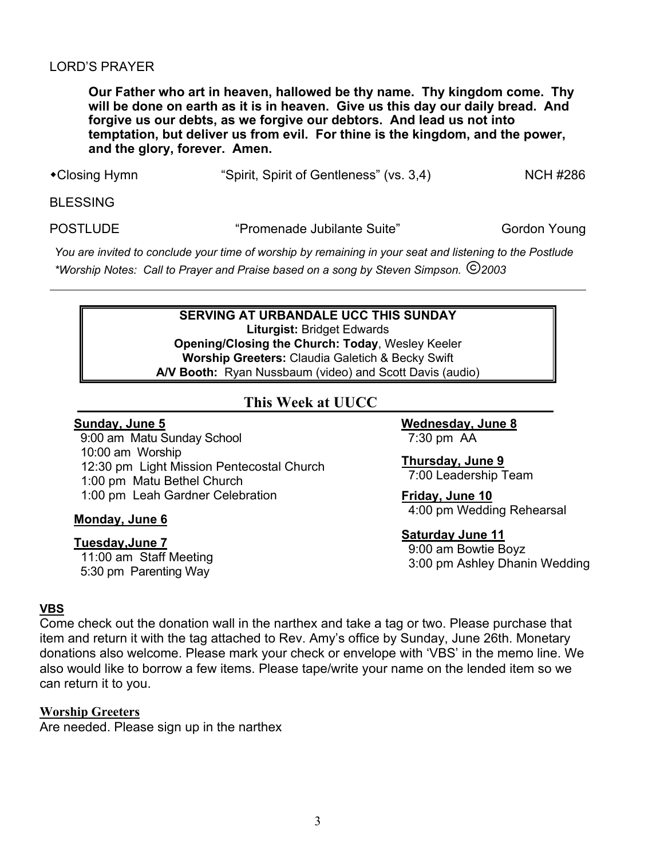## LORD'S PRAYER

**Our Father who art in heaven, hallowed be thy name. Thy kingdom come. Thy will be done on earth as it is in heaven. Give us this day our daily bread. And forgive us our debts, as we forgive our debtors. And lead us not into temptation, but deliver us from evil. For thine is the kingdom, and the power, and the glory, forever. Amen.**

- 
- •Closing Hymn "Spirit, Spirit of Gentleness" (vs. 3,4) NCH #286

BLESSING

POSTLUDE "Promenade Jubilante Suite" Gordon Young

*You are invited to conclude your time of worship by remaining in your seat and listening to the Postlude \*Worship Notes: Call to Prayer and Praise based on a song by Steven Simpson. 2003*

#### **SERVING AT URBANDALE UCC THIS SUNDAY**

**Liturgist:** Bridget Edwards **Opening/Closing the Church: Today**, Wesley Keeler **Worship Greeters:** Claudia Galetich & Becky Swift **A/V Booth:** Ryan Nussbaum (video) and Scott Davis (audio)

# **This Week at UUCC**

### **Sunday, June 5**

 9:00 am Matu Sunday School 10:00 am Worship 12:30 pm Light Mission Pentecostal Church 1:00 pm Matu Bethel Church 1:00 pm Leah Gardner Celebration

#### **Monday, June 6**

## **Tuesday,June 7**

 11:00 am Staff Meeting 5:30 pm Parenting Way

**Wednesday, June 8** 7:30 pm AA

**Thursday, June 9** 7:00 Leadership Team

**Friday, June 10** 4:00 pm Wedding Rehearsal

**Saturday June 11**

9:00 am Bowtie Boyz 3:00 pm Ashley Dhanin Wedding

## **VBS**

Come check out the donation wall in the narthex and take a tag or two. Please purchase that item and return it with the tag attached to Rev. Amy's office by Sunday, June 26th. Monetary donations also welcome. Please mark your check or envelope with 'VBS' in the memo line. We also would like to borrow a few items. Please tape/write your name on the lended item so we can return it to you.

## **Worship Greeters**

Are needed. Please sign up in the narthex